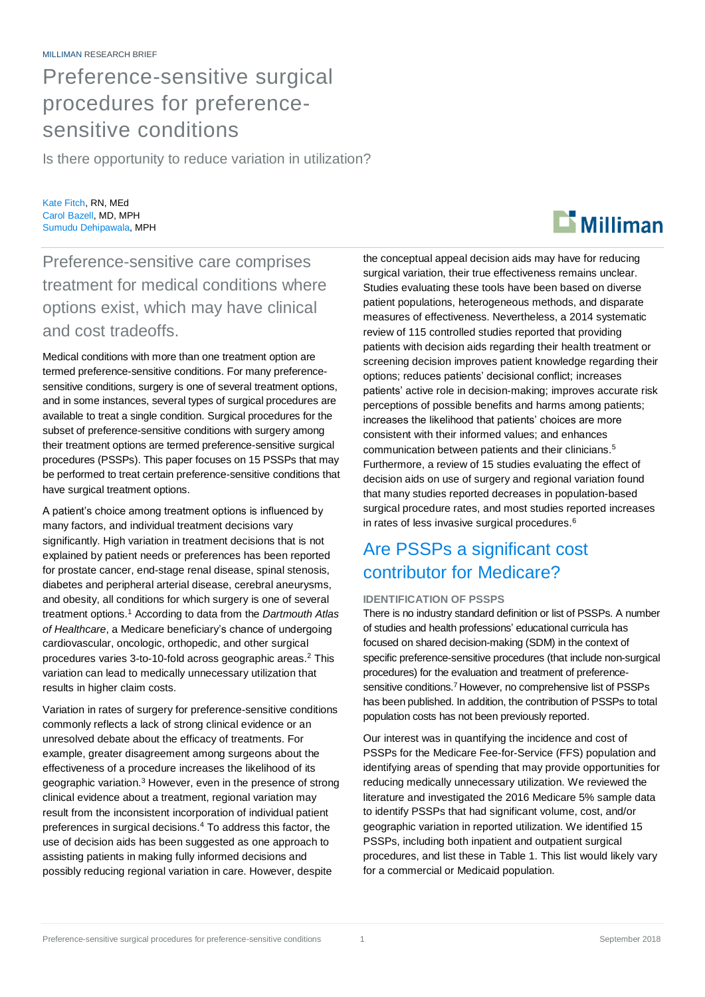# Preference-sensitive surgical procedures for preferencesensitive conditions

Is there opportunity to reduce variation in utilization?

Kate Fitch, RN, MEd Carol Bazell, MD, MPH Sumudu Dehipawala, MPH

Preference-sensitive care comprises treatment for medical conditions where options exist, which may have clinical and cost tradeoffs.

Medical conditions with more than one treatment option are termed preference-sensitive conditions. For many preferencesensitive conditions, surgery is one of several treatment options, and in some instances, several types of surgical procedures are available to treat a single condition. Surgical procedures for the subset of preference-sensitive conditions with surgery among their treatment options are termed preference-sensitive surgical procedures (PSSPs). This paper focuses on 15 PSSPs that may be performed to treat certain preference-sensitive conditions that have surgical treatment options.

A patient's choice among treatment options is influenced by many factors, and individual treatment decisions vary significantly. High variation in treatment decisions that is not explained by patient needs or preferences has been reported for prostate cancer, end-stage renal disease, spinal stenosis, diabetes and peripheral arterial disease, cerebral aneurysms, and obesity, all conditions for which surgery is one of several treatment options. <sup>1</sup> According to data from the *Dartmouth Atlas of Healthcare*, a Medicare beneficiary's chance of undergoing cardiovascular, oncologic, orthopedic, and other surgical procedures varies 3-to-10-fold across geographic areas. <sup>2</sup> This variation can lead to medically unnecessary utilization that results in higher claim costs.

Variation in rates of surgery for preference-sensitive conditions commonly reflects a lack of strong clinical evidence or an unresolved debate about the efficacy of treatments. For example, greater disagreement among surgeons about the effectiveness of a procedure increases the likelihood of its geographic variation. <sup>3</sup> However, even in the presence of strong clinical evidence about a treatment, regional variation may result from the inconsistent incorporation of individual patient preferences in surgical decisions. <sup>4</sup> To address this factor, the use of decision aids has been suggested as one approach to assisting patients in making fully informed decisions and possibly reducing regional variation in care. However, despite

the conceptual appeal decision aids may have for reducing surgical variation, their true effectiveness remains unclear. Studies evaluating these tools have been based on diverse patient populations, heterogeneous methods, and disparate measures of effectiveness. Nevertheless, a 2014 systematic review of 115 controlled studies reported that providing patients with decision aids regarding their health treatment or screening decision improves patient knowledge regarding their options; reduces patients' decisional conflict; increases patients' active role in decision-making; improves accurate risk perceptions of possible benefits and harms among patients; increases the likelihood that patients' choices are more consistent with their informed values; and enhances communication between patients and their clinicians. 5 Furthermore, a review of 15 studies evaluating the effect of decision aids on use of surgery and regional variation found that many studies reported decreases in population-based surgical procedure rates, and most studies reported increases in rates of less invasive surgical procedures. 6

# Are PSSPs a significant cost contributor for Medicare?

### **IDENTIFICATION OF PSSPS**

There is no industry standard definition or list of PSSPs. A number of studies and health professions' educational curricula has focused on shared decision-making (SDM) in the context of specific preference-sensitive procedures (that include non-surgical procedures) for the evaluation and treatment of preferencesensitive conditions. <sup>7</sup> However, no comprehensive list of PSSPs has been published. In addition, the contribution of PSSPs to total population costs has not been previously reported.

Our interest was in quantifying the incidence and cost of PSSPs for the Medicare Fee-for-Service (FFS) population and identifying areas of spending that may provide opportunities for reducing medically unnecessary utilization. We reviewed the literature and investigated the 2016 Medicare 5% sample data to identify PSSPs that had significant volume, cost, and/or geographic variation in reported utilization. We identified 15 PSSPs, including both inpatient and outpatient surgical procedures, and list these in Table 1. This list would likely vary for a commercial or Medicaid population.

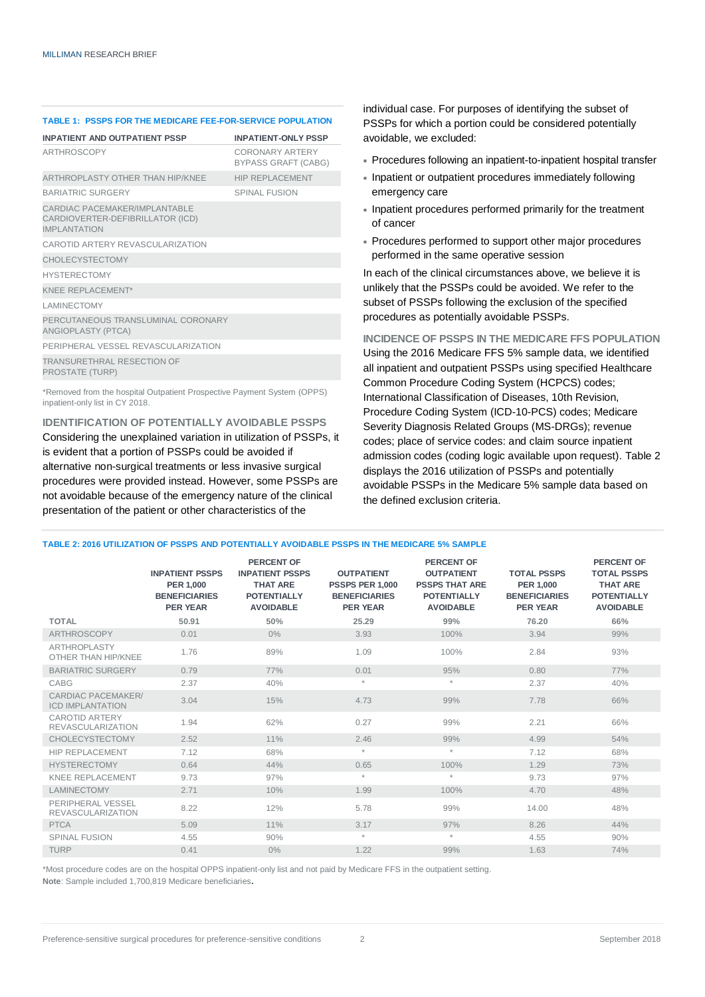| <b>TABLE 1: PSSPS FOR THE MEDICARE FEE-FOR-SERVICE POPULATION</b>                          |                                               |  |  |  |  |  |  |
|--------------------------------------------------------------------------------------------|-----------------------------------------------|--|--|--|--|--|--|
| <b>INPATIENT AND OUTPATIENT PSSP</b>                                                       | <b>INPATIENT-ONLY PSSP</b>                    |  |  |  |  |  |  |
| ARTHROSCOPY                                                                                | CORONARY ARTERY<br><b>BYPASS GRAFT (CABG)</b> |  |  |  |  |  |  |
| ARTHROPLASTY OTHER THAN HIP/KNEE                                                           | <b>HIP REPLACEMENT</b>                        |  |  |  |  |  |  |
| <b>BARIATRIC SURGERY</b>                                                                   | <b>SPINAL FUSION</b>                          |  |  |  |  |  |  |
| CARDIAC PACEMAKER/IMPI ANTABLE<br>CARDIOVERTER-DEFIBRILLATOR (ICD)<br><b>IMPI ANTATION</b> |                                               |  |  |  |  |  |  |
| CAROTID ARTERY REVASCULARIZATION                                                           |                                               |  |  |  |  |  |  |
| <b>CHOLECYSTECTOMY</b>                                                                     |                                               |  |  |  |  |  |  |
| <b>HYSTERECTOMY</b>                                                                        |                                               |  |  |  |  |  |  |
| KNFF RFPI ACFMENT*                                                                         |                                               |  |  |  |  |  |  |
| <b>LAMINECTOMY</b>                                                                         |                                               |  |  |  |  |  |  |
| PERCUTANEOUS TRANSLUMINAL CORONARY<br>ANGIOPLASTY (PTCA)                                   |                                               |  |  |  |  |  |  |
| PERIPHERAL VESSEL REVASCULARIZATION                                                        |                                               |  |  |  |  |  |  |
| <b>TRANSURETHRAL RESECTION OF</b><br>PROSTATE (TURP)                                       |                                               |  |  |  |  |  |  |

\*Removed from the hospital Outpatient Prospective Payment System (OPPS) inpatient-only list in CY 2018.

### **IDENTIFICATION OF POTENTIALLY AVOIDABLE PSSPS**

Considering the unexplained variation in utilization of PSSPs, it is evident that a portion of PSSPs could be avoided if alternative non-surgical treatments or less invasive surgical procedures were provided instead. However, some PSSPs are not avoidable because of the emergency nature of the clinical presentation of the patient or other characteristics of the

individual case. For purposes of identifying the subset of PSSPs for which a portion could be considered potentially avoidable, we excluded:

- Procedures following an inpatient-to-inpatient hospital transfer
- Inpatient or outpatient procedures immediately following emergency care
- Inpatient procedures performed primarily for the treatment of cancer
- Procedures performed to support other major procedures performed in the same operative session

In each of the clinical circumstances above, we believe it is unlikely that the PSSPs could be avoided. We refer to the subset of PSSPs following the exclusion of the specified procedures as potentially avoidable PSSPs.

**INCIDENCE OF PSSPS IN THE MEDICARE FFS POPULATION** Using the 2016 Medicare FFS 5% sample data, we identified all inpatient and outpatient PSSPs using specified Healthcare Common Procedure Coding System (HCPCS) codes; International Classification of Diseases, 10th Revision, Procedure Coding System (ICD-10-PCS) codes; Medicare Severity Diagnosis Related Groups (MS-DRGs); revenue codes; place of service codes: and claim source inpatient admission codes (coding logic available upon request). Table 2 displays the 2016 utilization of PSSPs and potentially avoidable PSSPs in the Medicare 5% sample data based on the defined exclusion criteria.

| TABLE 2: 2016 UTILIZATION OF PSSPS AND POTENTIALLY AVOIDABLE PSSPS IN THE MEDICARE 5% SAMPLE |  |
|----------------------------------------------------------------------------------------------|--|
|----------------------------------------------------------------------------------------------|--|

|                                                   | <b>INPATIENT PSSPS</b><br><b>PER 1.000</b><br><b>BENEFICIARIES</b><br><b>PER YEAR</b> | <b>PERCENT OF</b><br><b>INPATIENT PSSPS</b><br><b>THAT ARE</b><br><b>POTENTIALLY</b><br><b>AVOIDABLE</b> | <b>OUTPATIENT</b><br><b>PSSPS PER 1.000</b><br><b>BENEFICIARIES</b><br><b>PER YEAR</b> | PERCENT OF<br><b>OUTPATIENT</b><br><b>PSSPS THAT ARE</b><br><b>POTENTIALLY</b><br><b>AVOIDABLE</b> | <b>TOTAL PSSPS</b><br><b>PER 1,000</b><br><b>BENEFICIARIES</b><br><b>PER YEAR</b> | PERCENT OF<br><b>TOTAL PSSPS</b><br><b>THAT ARE</b><br><b>POTENTIALLY</b><br><b>AVOIDABLE</b> |
|---------------------------------------------------|---------------------------------------------------------------------------------------|----------------------------------------------------------------------------------------------------------|----------------------------------------------------------------------------------------|----------------------------------------------------------------------------------------------------|-----------------------------------------------------------------------------------|-----------------------------------------------------------------------------------------------|
| <b>TOTAL</b>                                      | 50.91                                                                                 | 50%                                                                                                      | 25.29                                                                                  | 99%                                                                                                | 76.20                                                                             | 66%                                                                                           |
| ARTHROSCOPY                                       | 0.01                                                                                  | $0\%$                                                                                                    | 3.93                                                                                   | 100%                                                                                               | 3.94                                                                              | 99%                                                                                           |
| ARTHROPLASTY<br>OTHER THAN HIP/KNEE               | 1.76                                                                                  | 89%                                                                                                      | 1.09                                                                                   | 100%                                                                                               | 2.84                                                                              | 93%                                                                                           |
| <b>BARIATRIC SURGERY</b>                          | 0.79                                                                                  | 77%                                                                                                      | 0.01                                                                                   | 95%                                                                                                | 0.80                                                                              | 77%                                                                                           |
| CABG                                              | 2.37                                                                                  | 40%                                                                                                      | $\mathcal{R}$                                                                          | $\star$                                                                                            | 2.37                                                                              | 40%                                                                                           |
| CARDIAC PACEMAKER/<br><b>ICD IMPLANTATION</b>     | 3.04                                                                                  | 15%                                                                                                      | 4.73                                                                                   | 99%                                                                                                | 7.78                                                                              | 66%                                                                                           |
| <b>CAROTID ARTERY</b><br><b>REVASCULARIZATION</b> | 1.94                                                                                  | 62%                                                                                                      | 0.27                                                                                   | 99%                                                                                                | 2.21                                                                              | 66%                                                                                           |
| CHOLECYSTECTOMY                                   | 2.52                                                                                  | 11%                                                                                                      | 2.46                                                                                   | 99%                                                                                                | 4.99                                                                              | 54%                                                                                           |
| <b>HIP REPLACEMENT</b>                            | 7.12                                                                                  | 68%                                                                                                      | $\star$                                                                                | $\star$                                                                                            | 7.12                                                                              | 68%                                                                                           |
| <b>HYSTERECTOMY</b>                               | 0.64                                                                                  | 44%                                                                                                      | 0.65                                                                                   | 100%                                                                                               | 1.29                                                                              | 73%                                                                                           |
| <b>KNEE REPLACEMENT</b>                           | 9.73                                                                                  | 97%                                                                                                      | $\star$                                                                                | $\star$                                                                                            | 9.73                                                                              | 97%                                                                                           |
| LAMINECTOMY                                       | 2.71                                                                                  | 10%                                                                                                      | 1.99                                                                                   | 100%                                                                                               | 4.70                                                                              | 48%                                                                                           |
| PERIPHERAL VESSEL<br><b>REVASCULARIZATION</b>     | 8.22                                                                                  | 12%                                                                                                      | 5.78                                                                                   | 99%                                                                                                | 14.00                                                                             | 48%                                                                                           |
| <b>PTCA</b>                                       | 5.09                                                                                  | 11%                                                                                                      | 3.17                                                                                   | 97%                                                                                                | 8.26                                                                              | 44%                                                                                           |
| <b>SPINAL FUSION</b>                              | 4.55                                                                                  | 90%                                                                                                      | $\mathcal{R}$                                                                          | $\star$                                                                                            | 4.55                                                                              | 90%                                                                                           |
| <b>TURP</b>                                       | 0.41                                                                                  | $0\%$                                                                                                    | 1.22                                                                                   | 99%                                                                                                | 1.63                                                                              | 74%                                                                                           |

\*Most procedure codes are on the hospital OPPS inpatient-only list and not paid by Medicare FFS in the outpatient setting.

**Note**: Sample included 1,700,819 Medicare beneficiaries.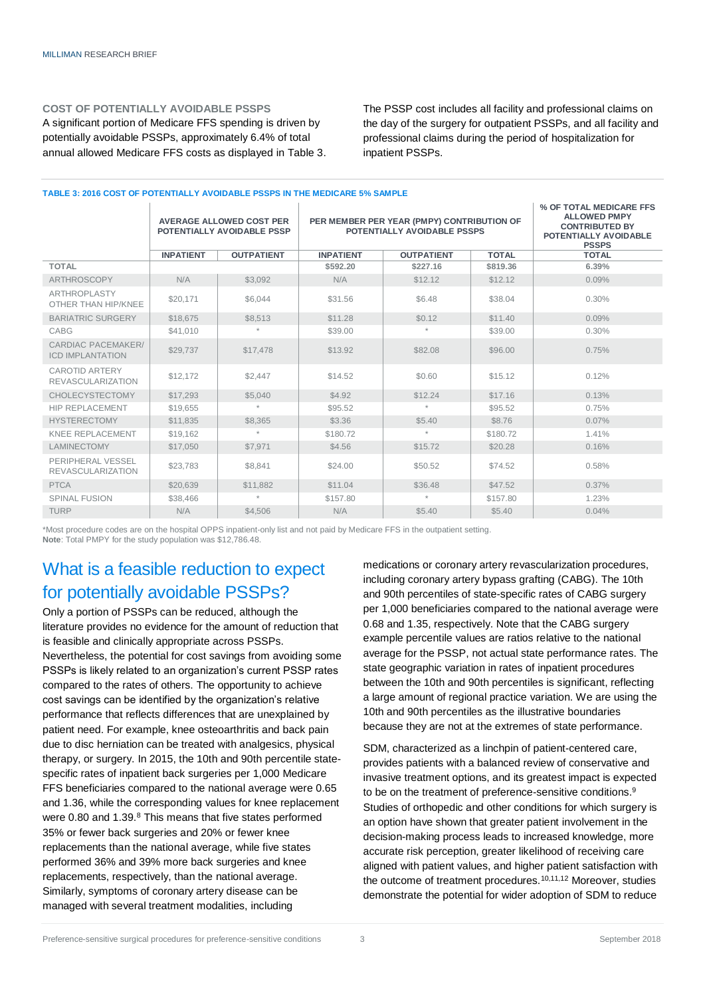#### **COST OF POTENTIALLY AVOIDABLE PSSPS**

A significant portion of Medicare FFS spending is driven by potentially avoidable PSSPs, approximately 6.4% of total annual allowed Medicare FFS costs as displayed in Table 3.

**TABLE 3: 2016 COST OF POTENTIALLY AVOIDABLE PSSPS IN THE MEDICARE 5% SAMPLE**

The PSSP cost includes all facility and professional claims on the day of the surgery for outpatient PSSPs, and all facility and professional claims during the period of hospitalization for inpatient PSSPs.

#### **AVERAGE ALLOWED COST PER POTENTIALLY AVOIDABLE PSSP PER MEMBER PER YEAR (PMPY) CONTRIBUTION OF POTENTIALLY AVOIDABLE PSSPS % OF TOTAL MEDICARE FFS ALLOWED PMPY CONTRIBUTED BY POTENTIALLY AVOIDABLE PSSPS INPATIENT OUTPATIENT INPATIENT OUTPATIENT TOTAL TOTAL TOTAL \$592.20 \$227.16 \$819.36 6.39%** ARTHROSCOPY | N/A | \$3,092 | N/A | \$12.12 | \$12.12 | 0.09% ARTHROPLASTY ARTHROPLASTY \$20,171 \$6,044 \$31.56 \$6.48 \$38.04 0.30% BARIATRIC SURGERY \$18,675 \$8,513 \$11.28 \$0.12 \$11.40 \$11.40 0.09% CABG | \$41,010 | \* | \$39.00 | \* | \$39.00 | 0.30% CARDIAC PACEMAKER/ ICD IMPLANTATION \$29,737 \$17,478 \$13.92 \$82.08 \$96.00 0.75% CAROTID ARTERY CAROTID ARTERY (\$12,172 | \$2,447 | \$14.52 | \$0.60 | \$15.12 | 0.12% CHOLECYSTECTOMY \$17,293 \$5,040 \$4.92 \$12.24 \$17.16 0.13% HIP REPLACEMENT \$19,655 \* \$95.52 \* \$95.52 0.75% HYSTERECTOMY | \$11,835 | \$8,365 | \$3.36 | \$5.40 | \$8.76 | 0.07% KNEE REPLACEMENT \$19,162 \* \$180.72 \* \$180.72 \$180.72 1.41% LAMINECTOMY \$17,050 \$7,971 \$4.56 \$15.72 \$20.28 0.16% PERIPHERAL VESSEL PERIPHERAL VESSEL | \$23,783 | \$8,841 | \$24.00 | \$50.52 | \$74.52 | 0.58% PTCA | \$20,639 | \$11,882 | \$11.04 | \$36.48 | \$47.52 | 0.37% SPINAL FUSION \$38,466 \* \$157.80 \* \$157.80 \* \$157.80 \$157.80 \$1.23% TURP | N/A | \$4,506 | N/A | \$5.40 | \$5.40 | 0.04%

\*Most procedure codes are on the hospital OPPS inpatient-only list and not paid by Medicare FFS in the outpatient setting. **Note**: Total PMPY for the study population was \$12,786.48.

## What is a feasible reduction to expect for potentially avoidable PSSPs?

Only a portion of PSSPs can be reduced, although the literature provides no evidence for the amount of reduction that is feasible and clinically appropriate across PSSPs. Nevertheless, the potential for cost savings from avoiding some PSSPs is likely related to an organization's current PSSP rates compared to the rates of others. The opportunity to achieve cost savings can be identified by the organization's relative performance that reflects differences that are unexplained by patient need. For example, knee osteoarthritis and back pain due to disc herniation can be treated with analgesics, physical therapy, or surgery. In 2015, the 10th and 90th percentile statespecific rates of inpatient back surgeries per 1,000 Medicare FFS beneficiaries compared to the national average were 0.65 and 1.36, while the corresponding values for knee replacement were 0.80 and 1.39.<sup>8</sup> This means that five states performed 35% or fewer back surgeries and 20% or fewer knee replacements than the national average, while five states performed 36% and 39% more back surgeries and knee replacements, respectively, than the national average. Similarly, symptoms of coronary artery disease can be managed with several treatment modalities, including

medications or coronary artery revascularization procedures, including coronary artery bypass grafting (CABG). The 10th and 90th percentiles of state-specific rates of CABG surgery per 1,000 beneficiaries compared to the national average were 0.68 and 1.35, respectively. Note that the CABG surgery example percentile values are ratios relative to the national average for the PSSP, not actual state performance rates. The state geographic variation in rates of inpatient procedures between the 10th and 90th percentiles is significant, reflecting a large amount of regional practice variation. We are using the 10th and 90th percentiles as the illustrative boundaries because they are not at the extremes of state performance.

SDM, characterized as a linchpin of patient-centered care, provides patients with a balanced review of conservative and invasive treatment options, and its greatest impact is expected to be on the treatment of preference-sensitive conditions.<sup>9</sup> Studies of orthopedic and other conditions for which surgery is an option have shown that greater patient involvement in the decision-making process leads to increased knowledge, more accurate risk perception, greater likelihood of receiving care aligned with patient values, and higher patient satisfaction with the outcome of treatment procedures.<sup>10,11,12</sup> Moreover, studies demonstrate the potential for wider adoption of SDM to reduce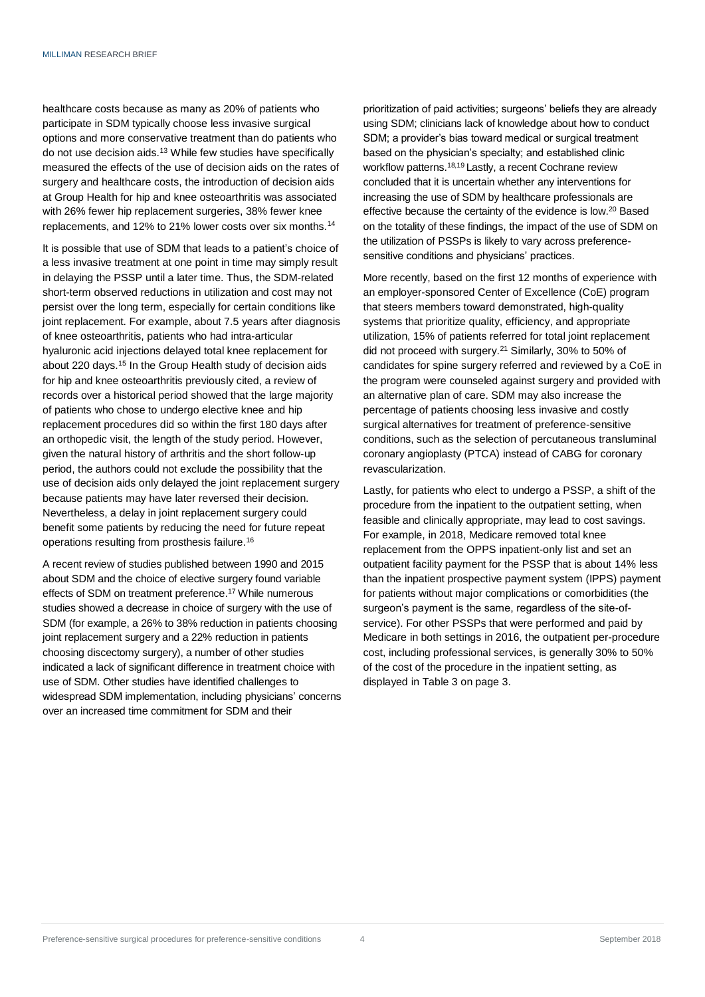healthcare costs because as many as 20% of patients who participate in SDM typically choose less invasive surgical options and more conservative treatment than do patients who do not use decision aids.<sup>13</sup> While few studies have specifically measured the effects of the use of decision aids on the rates of surgery and healthcare costs, the introduction of decision aids at Group Health for hip and knee osteoarthritis was associated with 26% fewer hip replacement surgeries, 38% fewer knee replacements, and 12% to 21% lower costs over six months.<sup>14</sup>

It is possible that use of SDM that leads to a patient's choice of a less invasive treatment at one point in time may simply result in delaying the PSSP until a later time. Thus, the SDM-related short-term observed reductions in utilization and cost may not persist over the long term, especially for certain conditions like joint replacement. For example, about 7.5 years after diagnosis of knee osteoarthritis, patients who had intra-articular hyaluronic acid injections delayed total knee replacement for about 220 days.<sup>15</sup> In the Group Health study of decision aids for hip and knee osteoarthritis previously cited, a review of records over a historical period showed that the large majority of patients who chose to undergo elective knee and hip replacement procedures did so within the first 180 days after an orthopedic visit, the length of the study period. However, given the natural history of arthritis and the short follow-up period, the authors could not exclude the possibility that the use of decision aids only delayed the joint replacement surgery because patients may have later reversed their decision. Nevertheless, a delay in joint replacement surgery could benefit some patients by reducing the need for future repeat operations resulting from prosthesis failure.<sup>16</sup>

A recent review of studies published between 1990 and 2015 about SDM and the choice of elective surgery found variable effects of SDM on treatment preference.<sup>17</sup> While numerous studies showed a decrease in choice of surgery with the use of SDM (for example, a 26% to 38% reduction in patients choosing joint replacement surgery and a 22% reduction in patients choosing discectomy surgery), a number of other studies indicated a lack of significant difference in treatment choice with use of SDM. Other studies have identified challenges to widespread SDM implementation, including physicians' concerns over an increased time commitment for SDM and their

prioritization of paid activities; surgeons' beliefs they are already using SDM; clinicians lack of knowledge about how to conduct SDM; a provider's bias toward medical or surgical treatment based on the physician's specialty; and established clinic workflow patterns.<sup>18,19</sup> Lastly, a recent Cochrane review concluded that it is uncertain whether any interventions for increasing the use of SDM by healthcare professionals are effective because the certainty of the evidence is low.<sup>20</sup> Based on the totality of these findings, the impact of the use of SDM on the utilization of PSSPs is likely to vary across preferencesensitive conditions and physicians' practices.

More recently, based on the first 12 months of experience with an employer-sponsored Center of Excellence (CoE) program that steers members toward demonstrated, high-quality systems that prioritize quality, efficiency, and appropriate utilization, 15% of patients referred for total joint replacement did not proceed with surgery.<sup>21</sup> Similarly, 30% to 50% of candidates for spine surgery referred and reviewed by a CoE in the program were counseled against surgery and provided with an alternative plan of care. SDM may also increase the percentage of patients choosing less invasive and costly surgical alternatives for treatment of preference-sensitive conditions, such as the selection of percutaneous transluminal coronary angioplasty (PTCA) instead of CABG for coronary revascularization.

Lastly, for patients who elect to undergo a PSSP, a shift of the procedure from the inpatient to the outpatient setting, when feasible and clinically appropriate, may lead to cost savings. For example, in 2018, Medicare removed total knee replacement from the OPPS inpatient-only list and set an outpatient facility payment for the PSSP that is about 14% less than the inpatient prospective payment system (IPPS) payment for patients without major complications or comorbidities (the surgeon's payment is the same, regardless of the site-ofservice). For other PSSPs that were performed and paid by Medicare in both settings in 2016, the outpatient per-procedure cost, including professional services, is generally 30% to 50% of the cost of the procedure in the inpatient setting, as displayed in Table 3 on page 3.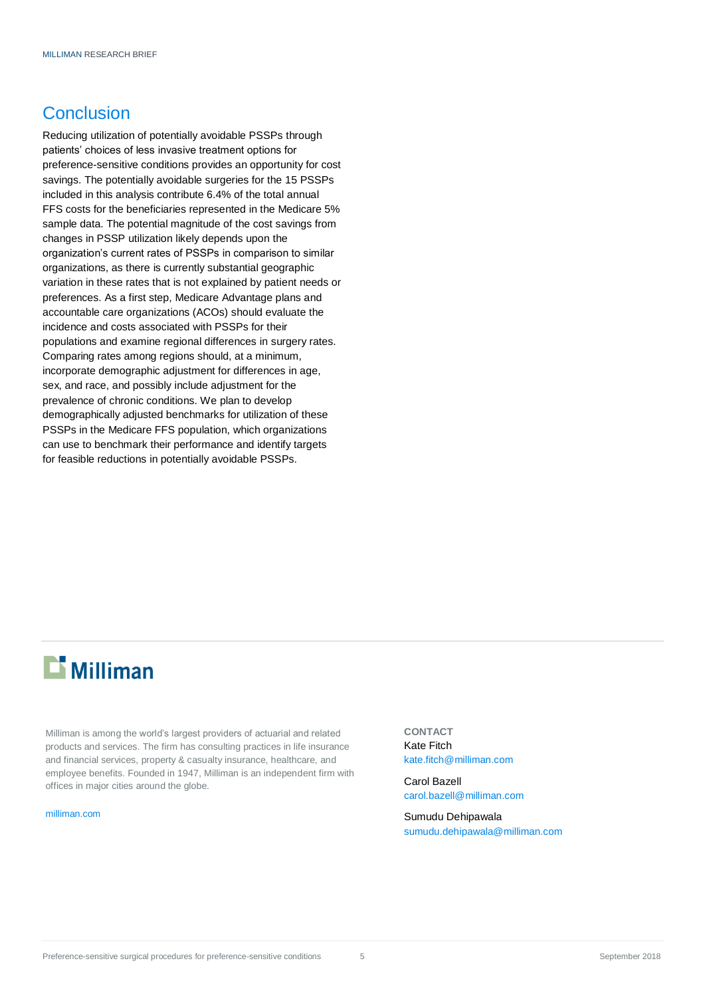## **Conclusion**

Reducing utilization of potentially avoidable PSSPs through patients' choices of less invasive treatment options for preference-sensitive conditions provides an opportunity for cost savings. The potentially avoidable surgeries for the 15 PSSPs included in this analysis contribute 6.4% of the total annual FFS costs for the beneficiaries represented in the Medicare 5% sample data. The potential magnitude of the cost savings from changes in PSSP utilization likely depends upon the organization's current rates of PSSPs in comparison to similar organizations, as there is currently substantial geographic variation in these rates that is not explained by patient needs or preferences. As a first step, Medicare Advantage plans and accountable care organizations (ACOs) should evaluate the incidence and costs associated with PSSPs for their populations and examine regional differences in surgery rates. Comparing rates among regions should, at a minimum, incorporate demographic adjustment for differences in age, sex, and race, and possibly include adjustment for the prevalence of chronic conditions. We plan to develop demographically adjusted benchmarks for utilization of these PSSPs in the Medicare FFS population, which organizations can use to benchmark their performance and identify targets for feasible reductions in potentially avoidable PSSPs.

# $\mathbf{E}$  Milliman

Milliman is among the world's largest providers of actuarial and related products and services. The firm has consulting practices in life insurance and financial services, property & casualty insurance, healthcare, and employee benefits. Founded in 1947, Milliman is an independent firm with offices in major cities around the globe.

#### [milliman.com](http://www.milliman.com/)

**CONTACT** Kate Fitch [kate.fitch@milliman.com](mailto:kate.fitch@milliman.com)

Carol Bazell [carol.bazell@milliman.com](mailto:carol.bazell@milliman.com)

Sumudu Dehipawala [sumudu.dehipawala@milliman.com](mailto:sumudu.dehipawala@milliman.com)